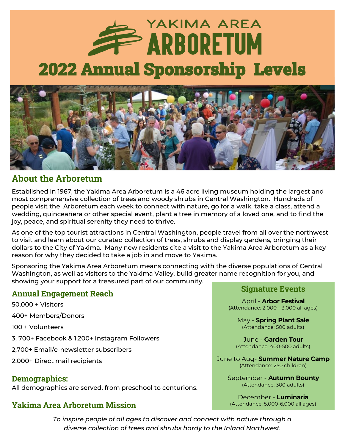# YAKIMA AREA **EXARBORETUM** 2022 Annual Sponsorship Levels



### **About the Arboretum**

Established in 1967, the Yakima Area Arboretum is a 46 acre living museum holding the largest and most comprehensive collection of trees and woody shrubs in Central Washington. Hundreds of people visit the Arboretum each week to connect with nature, go for a walk, take a class, attend a wedding, quinceañera or other special event, plant a tree in memory of a loved one, and to find the joy, peace, and spiritual serenity they need to thrive.

As one of the top tourist attractions in Central Washington, people travel from all over the northwest to visit and learn about our curated collection of trees, shrubs and display gardens, bringing their dollars to the City of Yakima. Many new residents cite a visit to the Yakima Area Arboretum as a key reason for why they decided to take a job in and move to Yakima.

Sponsoring the Yakima Area Arboretum means connecting with the diverse populations of Central Washington, as well as visitors to the Yakima Valley, build greater name recognition for you, and showing your support for a treasured part of our community.

#### **Annual Engagement Reach**

50,000 + Visitors 400+ Members/Donors 100 + Volunteers 3, 700+ Facebook & 1,200+ Instagram Followers 2,700+ Email/e-newsletter subscribers 2,000+ Direct mail recipients

#### **Demographics:**

All demographics are served, from preschool to centurions.

### **Yakima Area Arboretum Mission**

*To inspire people of all ages to discover and connect with nature through a diverse collection of trees and shrubs hardy to the Inland Northwest.*

#### **Signature Events**

April - **Arbor Festival** (Attendance: 2,000—3,000 all ages)

May - **Spring Plant Sale** (Attendance: 500 adults)

June - **Garden Tour** (Attendance: 400-500 adults)

June to Aug- **Summer Nature Camp** (Attendance: 250 children)

> September - **Autumn Bounty** (Attendance: 300 adults)

December - **Luminaria** (Attendance: 5,000-6,000 all ages)